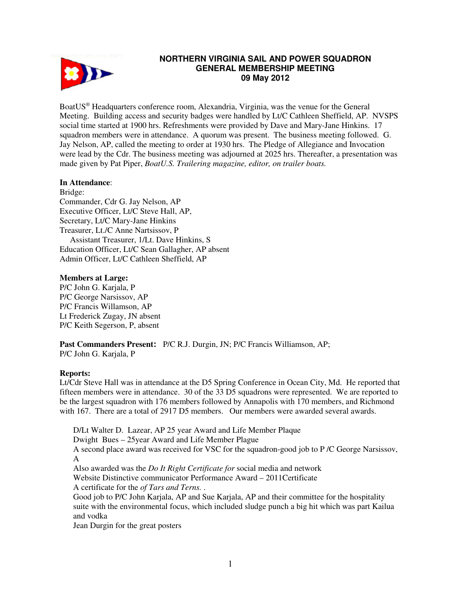

# **NORTHERN VIRGINIA SAIL AND POWER SQUADRON GENERAL MEMBERSHIP MEETING 09 May 2012**

BoatUS® Headquarters conference room, Alexandria, Virginia, was the venue for the General Meeting. Building access and security badges were handled by Lt/C Cathleen Sheffield, AP. NVSPS social time started at 1900 hrs. Refreshments were provided by Dave and Mary-Jane Hinkins. 17 squadron members were in attendance. A quorum was present. The business meeting followed. G. Jay Nelson, AP, called the meeting to order at 1930 hrs. The Pledge of Allegiance and Invocation were lead by the Cdr. The business meeting was adjourned at 2025 hrs. Thereafter, a presentation was made given by Pat Piper, *BoatU.S. Trailering magazine, editor, on trailer boats.* 

## **In Attendance**:

Bridge: Commander, Cdr G. Jay Nelson, AP Executive Officer, Lt/C Steve Hall, AP, Secretary, Lt/C Mary-Jane Hinkins Treasurer, Lt./C Anne Nartsissov, P Assistant Treasurer, 1/Lt. Dave Hinkins, S Education Officer, Lt/C Sean Gallagher, AP absent Admin Officer, Lt/C Cathleen Sheffield, AP

### **Members at Large:**

P/C John G. Karjala, P P/C George Narsissov, AP P/C Francis Willamson, AP Lt Frederick Zugay, JN absent P/C Keith Segerson, P, absent

**Past Commanders Present:** P/C R.J. Durgin, JN; P/C Francis Williamson, AP; P/C John G. Karjala, P

### **Reports:**

Lt/Cdr Steve Hall was in attendance at the D5 Spring Conference in Ocean City, Md. He reported that fifteen members were in attendance. 30 of the 33 D5 squadrons were represented. We are reported to be the largest squadron with 176 members followed by Annapolis with 170 members, and Richmond with 167. There are a total of 2917 D5 members. Our members were awarded several awards.

D/Lt Walter D. Lazear, AP 25 year Award and Life Member Plaque

Dwight Bues – 25year Award and Life Member Plague

A second place award was received for VSC for the squadron-good job to P /C George Narsissov, A

Also awarded was the *Do It Right Certificate for* social media and network

Website Distinctive communicator Performance Award – 2011Certificate

A certificate for the *of Tars and Terns.* .

Good job to P/C John Karjala, AP and Sue Karjala, AP and their committee for the hospitality suite with the environmental focus, which included sludge punch a big hit which was part Kailua and vodka

Jean Durgin for the great posters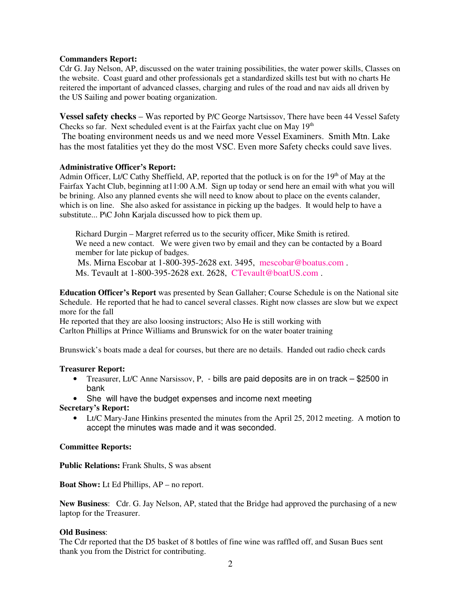### **Commanders Report:**

Cdr G. Jay Nelson, AP, discussed on the water training possibilities, the water power skills, Classes on the website. Coast guard and other professionals get a standardized skills test but with no charts He reitered the important of advanced classes, charging and rules of the road and nav aids all driven by the US Sailing and power boating organization.

**Vessel safety checks** – Was reported by P/C George Nartsissov, There have been 44 Vessel Safety Checks so far. Next scheduled event is at the Fairfax yacht clue on May  $19<sup>th</sup>$  The boating environment needs us and we need more Vessel Examiners. Smith Mtn. Lake has the most fatalities yet they do the most VSC. Even more Safety checks could save lives.

### **Administrative Officer's Report:**

Admin Officer, Lt/C Cathy Sheffield, AP, reported that the potluck is on for the 19<sup>th</sup> of May at the Fairfax Yacht Club, beginning at11:00 A.M. Sign up today or send here an email with what you will be brining. Also any planned events she will need to know about to place on the events calander, which is on line. She also asked for assistance in picking up the badges. It would help to have a substitute... P\C John Karjala discussed how to pick them up.

Richard Durgin – Margret referred us to the security officer, Mike Smith is retired. We need a new contact. We were given two by email and they can be contacted by a Board member for late pickup of badges.

 Ms. Mirna Escobar at 1-800-395-2628 ext. 3495, mescobar@boatus.com . Ms. Tevault at 1-800-395-2628 ext. 2628, CTevault@boatUS.com .

**Education Officer's Report** was presented by Sean Gallaher; Course Schedule is on the National site Schedule. He reported that he had to cancel several classes. Right now classes are slow but we expect more for the fall

He reported that they are also loosing instructors; Also He is still working with Carlton Phillips at Prince Williams and Brunswick for on the water boater training

Brunswick's boats made a deal for courses, but there are no details. Handed out radio check cards

#### **Treasurer Report:**

- Treasurer, Lt/C Anne Narsissov, P, bills are paid deposits are in on track \$2500 in bank
- She will have the budget expenses and income next meeting

#### **Secretary's Report:**

• Lt/C Mary-Jane Hinkins presented the minutes from the April 25, 2012 meeting. A motion to accept the minutes was made and it was seconded.

#### **Committee Reports:**

**Public Relations:** Frank Shults, S was absent

**Boat Show:** Lt Ed Phillips, AP – no report.

**New Business**: Cdr. G. Jay Nelson, AP, stated that the Bridge had approved the purchasing of a new laptop for the Treasurer.

#### **Old Business**:

The Cdr reported that the D5 basket of 8 bottles of fine wine was raffled off, and Susan Bues sent thank you from the District for contributing.